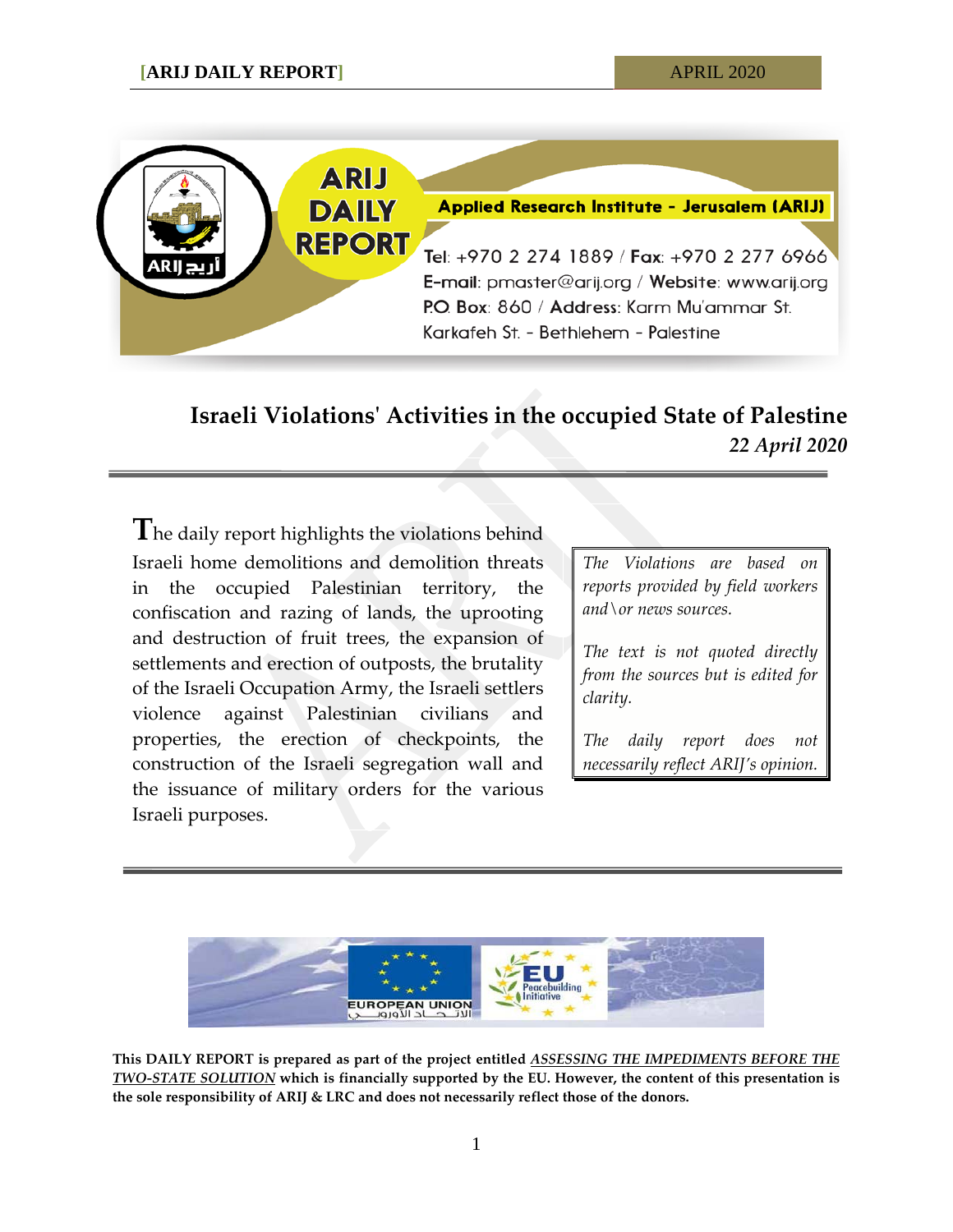

# **Israeli Violations' Activities in the occupied State of Palestine** *22 April 2020*

**T**he daily report highlights the violations behind Israeli home demolitions and demolition threats in the occupied Palestinian territory, the confiscation and razing of lands, the uprooting and destruction of fruit trees, the expansion of settlements and erection of outposts, the brutality of the Israeli Occupation Army, the Israeli settlers violence against Palestinian civilians and properties, the erection of checkpoints, the construction of the Israeli segregation wall and the issuance of military orders for the various Israeli purposes.

*0BThe Violations are based on reports provided by field workers and\or news sources.*

*1BThe text is not quoted directly from the sources but is edited for clarity.*

*The daily report does not necessarily reflect ARIJ's opinion.*



**This DAILY REPORT is prepared as part of the project entitled** *ASSESSING THE IMPEDIMENTS BEFORE THE TWO-STATE SOLUTION* **which is financially supported by the EU. However, the content of this presentation is the sole responsibility of ARIJ & LRC and does not necessarily reflect those of the donors.**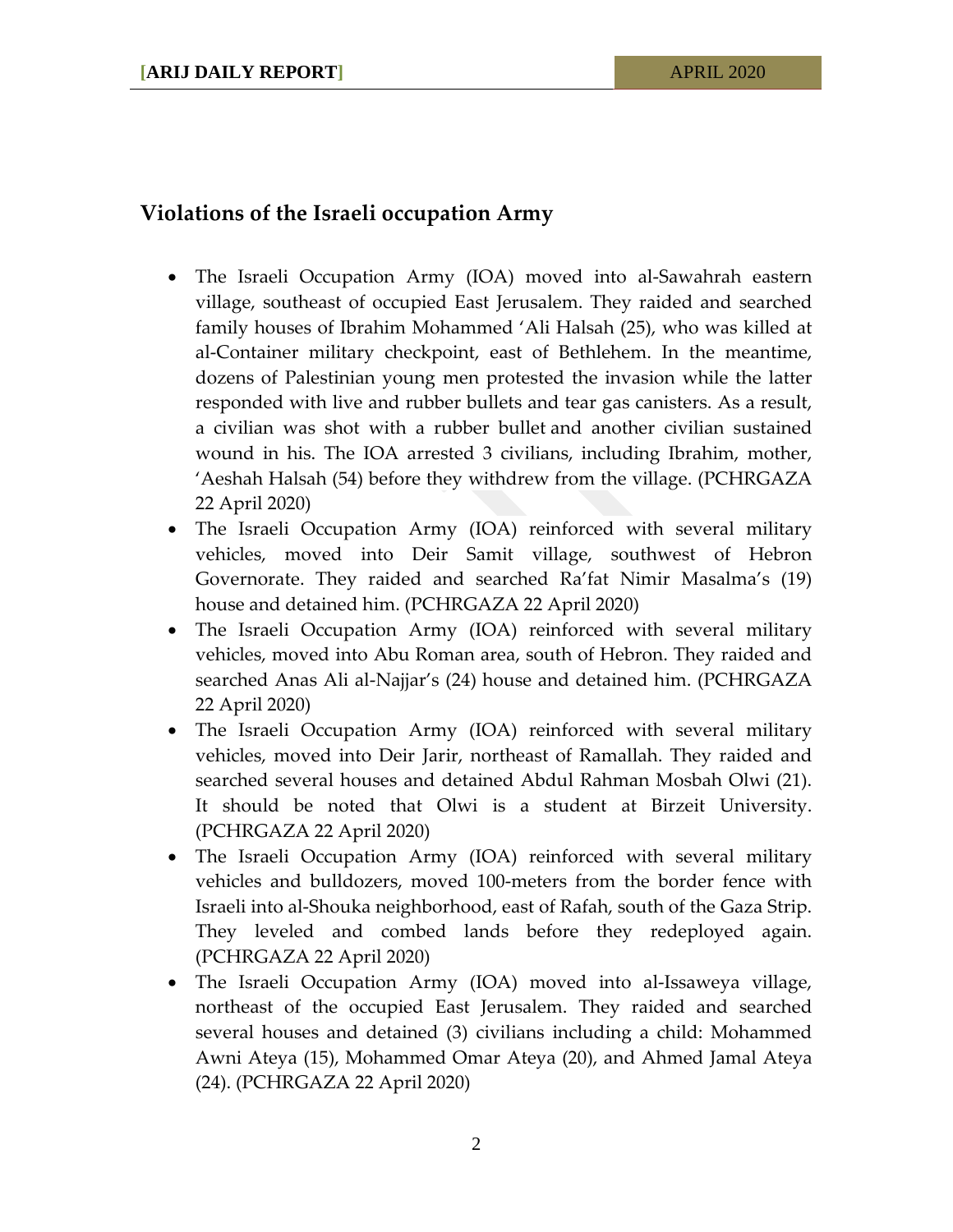## **Violations of the Israeli occupation Army**

- The Israeli Occupation Army (IOA) moved into al-Sawahrah eastern village, southeast of occupied East Jerusalem. They raided and searched family houses of Ibrahim Mohammed 'Ali Halsah (25), who was killed at al-Container military checkpoint, east of Bethlehem. In the meantime, dozens of Palestinian young men protested the invasion while the latter responded with live and rubber bullets and tear gas canisters. As a result, a civilian was shot with a rubber bullet and another civilian sustained wound in his. The IOA arrested 3 civilians, including Ibrahim, mother, 'Aeshah Halsah (54) before they withdrew from the village. (PCHRGAZA 22 April 2020)
- The Israeli Occupation Army (IOA) reinforced with several military vehicles, moved into Deir Samit village, southwest of Hebron Governorate. They raided and searched Ra'fat Nimir Masalma's (19) house and detained him. (PCHRGAZA 22 April 2020)
- The Israeli Occupation Army (IOA) reinforced with several military vehicles, moved into Abu Roman area, south of Hebron. They raided and searched Anas Ali al-Najjar's (24) house and detained him. (PCHRGAZA 22 April 2020)
- The Israeli Occupation Army (IOA) reinforced with several military vehicles, moved into Deir Jarir, northeast of Ramallah. They raided and searched several houses and detained Abdul Rahman Mosbah Olwi (21). It should be noted that Olwi is a student at Birzeit University. (PCHRGAZA 22 April 2020)
- The Israeli Occupation Army (IOA) reinforced with several military vehicles and bulldozers, moved 100-meters from the border fence with Israeli into al-Shouka neighborhood, east of Rafah, south of the Gaza Strip. They leveled and combed lands before they redeployed again. (PCHRGAZA 22 April 2020)
- The Israeli Occupation Army (IOA) moved into al-Issaweya village, northeast of the occupied East Jerusalem. They raided and searched several houses and detained (3) civilians including a child: Mohammed Awni Ateya (15), Mohammed Omar Ateya (20), and Ahmed Jamal Ateya (24). (PCHRGAZA 22 April 2020)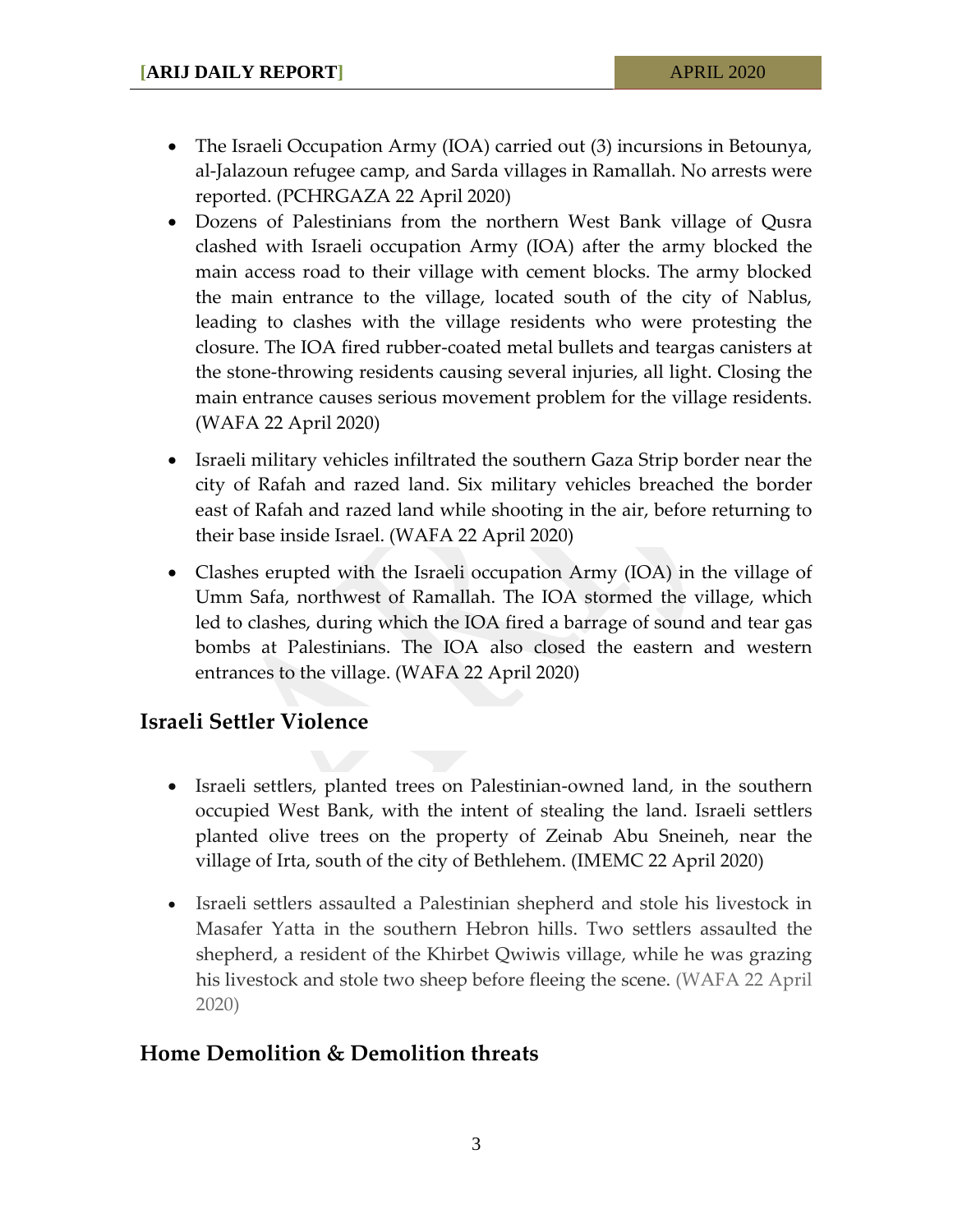- The Israeli Occupation Army (IOA) carried out (3) incursions in Betounya, al-Jalazoun refugee camp, and Sarda villages in Ramallah. No arrests were reported. (PCHRGAZA 22 April 2020)
- Dozens of Palestinians from the northern West Bank village of Qusra clashed with Israeli occupation Army (IOA) after the army blocked the main access road to their village with cement blocks. The army blocked the main entrance to the village, located south of the city of Nablus, leading to clashes with the village residents who were protesting the closure. The IOA fired rubber-coated metal bullets and teargas canisters at the stone-throwing residents causing several injuries, all light. Closing the main entrance causes serious movement problem for the village residents. (WAFA 22 April 2020)
- Israeli military vehicles infiltrated the southern Gaza Strip border near the city of Rafah and razed land. Six military vehicles breached the border east of Rafah and razed land while shooting in the air, before returning to their base inside Israel. (WAFA 22 April 2020)
- Clashes erupted with the Israeli occupation Army (IOA) in the village of Umm Safa, northwest of Ramallah. The IOA stormed the village, which led to clashes, during which the IOA fired a barrage of sound and tear gas bombs at Palestinians. The IOA also closed the eastern and western entrances to the village. (WAFA 22 April 2020)

### **Israeli Settler Violence**

- Israeli settlers, planted trees on Palestinian-owned land, in the southern occupied West Bank, with the intent of stealing the land. Israeli settlers planted olive trees on the property of Zeinab Abu Sneineh, near the village of Irta, south of the city of Bethlehem. (IMEMC 22 April 2020)
- Israeli settlers assaulted a Palestinian shepherd and stole his livestock in Masafer Yatta in the southern Hebron hills. Two settlers assaulted the shepherd, a resident of the Khirbet Qwiwis village, while he was grazing his livestock and stole two sheep before fleeing the scene. (WAFA 22 April 2020)

### **Home Demolition & Demolition threats**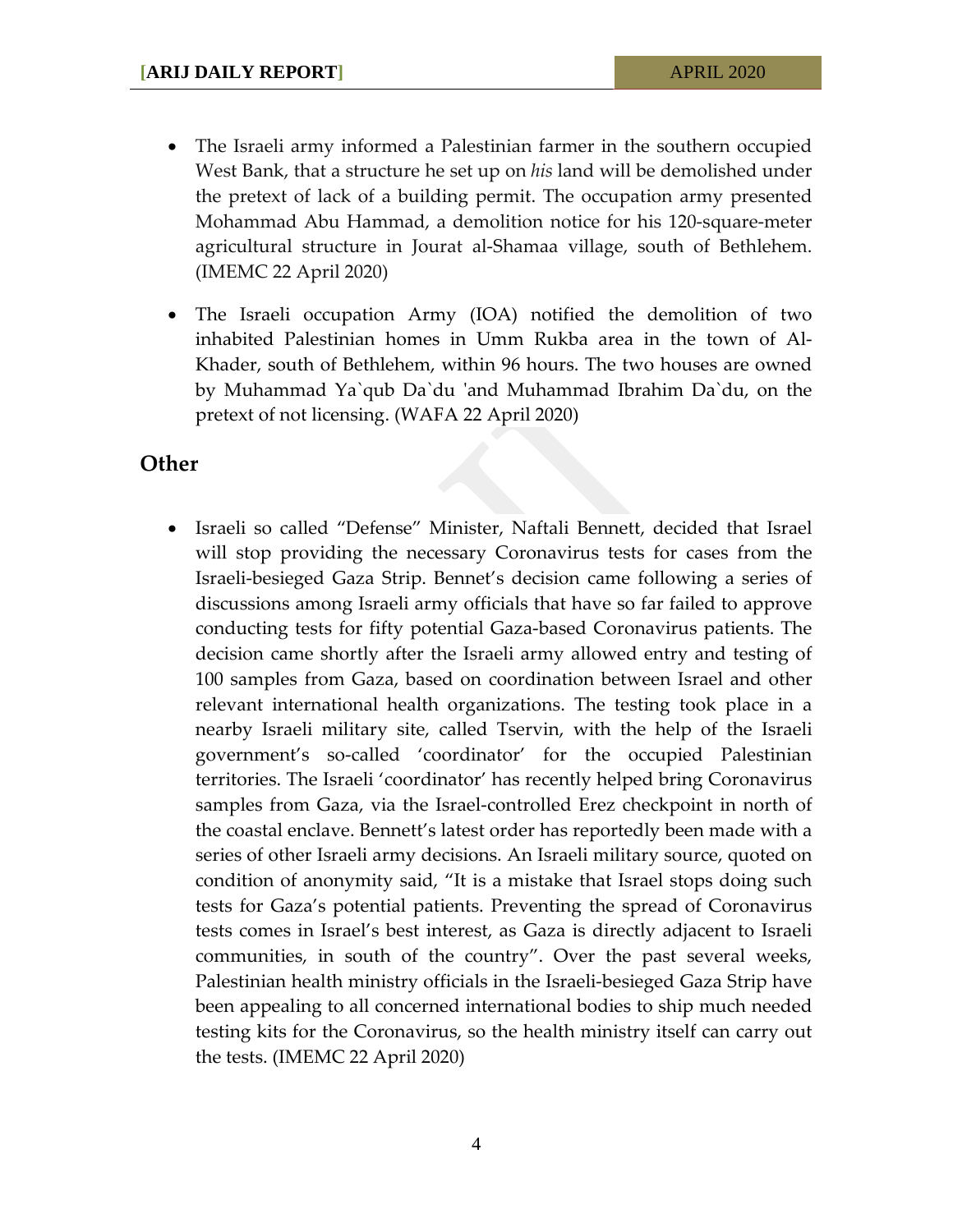- The Israeli army informed a Palestinian farmer in the southern occupied West Bank, that a structure he set up on *his* land will be demolished under the pretext of lack of a building permit. The occupation army presented Mohammad Abu Hammad, a demolition notice for his 120-square-meter agricultural structure in Jourat al-Shamaa village, south of Bethlehem. (IMEMC 22 April 2020)
- The Israeli occupation Army (IOA) notified the demolition of two inhabited Palestinian homes in Umm Rukba area in the town of Al-Khader, south of Bethlehem, within 96 hours. The two houses are owned by Muhammad Ya`qub Da`du 'and Muhammad Ibrahim Da`du, on the pretext of not licensing. (WAFA 22 April 2020)

#### **Other**

• Israeli so called "Defense" Minister, Naftali Bennett, decided that Israel will stop providing the necessary Coronavirus tests for cases from the Israeli-besieged Gaza Strip. Bennet's decision came following a series of discussions among Israeli army officials that have so far failed to approve conducting tests for fifty potential Gaza-based Coronavirus patients. The decision came shortly after the Israeli army allowed entry and testing of 100 samples from Gaza, based on coordination between Israel and other relevant international health organizations. The testing took place in a nearby Israeli military site, called Tservin, with the help of the Israeli government's so-called 'coordinator' for the occupied Palestinian territories. The Israeli 'coordinator' has recently helped bring Coronavirus samples from Gaza, via the Israel-controlled Erez checkpoint in north of the coastal enclave. Bennett's latest order has reportedly been made with a series of other Israeli army decisions. An Israeli military source, quoted on condition of anonymity said, "It is a mistake that Israel stops doing such tests for Gaza's potential patients. Preventing the spread of Coronavirus tests comes in Israel's best interest, as Gaza is directly adjacent to Israeli communities, in south of the country". Over the past several weeks, Palestinian health ministry officials in the Israeli-besieged Gaza Strip have been appealing to all concerned international bodies to ship much needed testing kits for the Coronavirus, so the health ministry itself can carry out the tests. (IMEMC 22 April 2020)